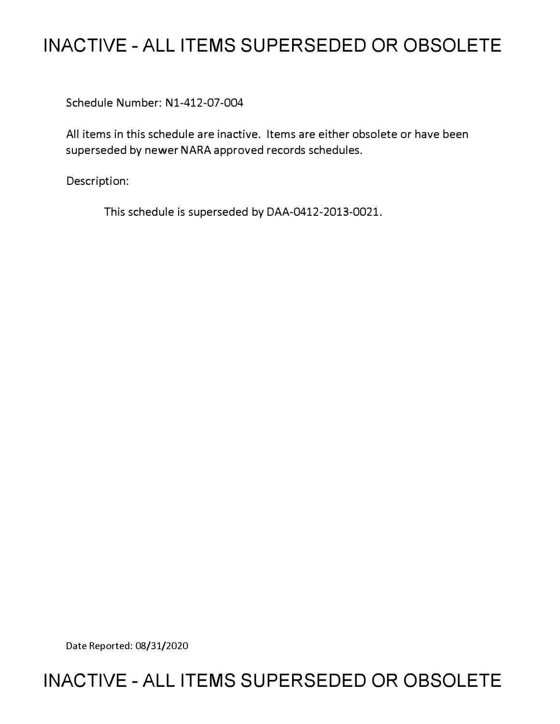## **INACTIVE - ALL ITEMS SUPERSEDED OR OBSOLETE**

Schedule Number: Nl-412-07-004

All items in this schedule are inactive. Items are either obsolete or have been superseded by newer NARA approved records schedules.

Description:

This schedule is superseded by DAA-0412-2013-0021.

Date Reported: 08/31/2020

## **INACTIVE - ALL ITEMS SUPERSEDED OR OBSOLETE**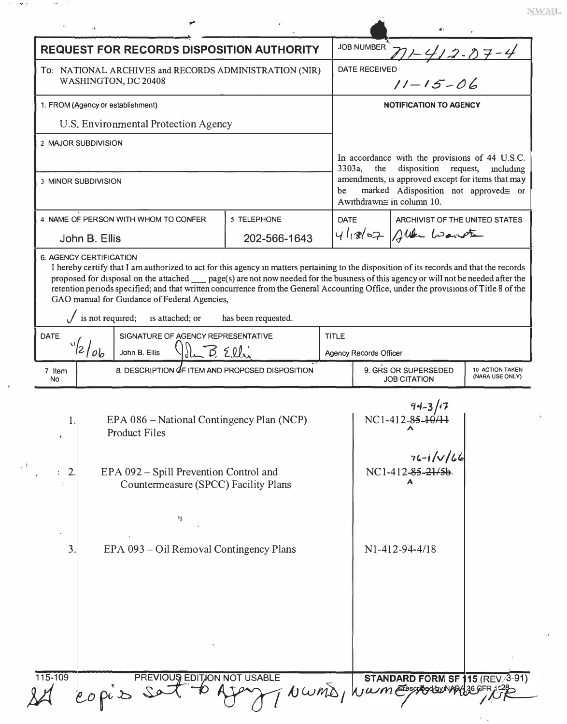| <b>REQUEST FOR RECORDS DISPOSITION AUTHORITY</b><br>To: NATIONAL ARCHIVES and RECORDS ADMINISTRATION (NIR)<br>WASHINGTON, DC 20408 |                                                                                                                                                                                                                                                                                                                             |                     |              | <b>DATE RECEIVED</b>                                                              | 71-412-07-4                                                              |           |
|------------------------------------------------------------------------------------------------------------------------------------|-----------------------------------------------------------------------------------------------------------------------------------------------------------------------------------------------------------------------------------------------------------------------------------------------------------------------------|---------------------|--------------|-----------------------------------------------------------------------------------|--------------------------------------------------------------------------|-----------|
|                                                                                                                                    |                                                                                                                                                                                                                                                                                                                             |                     |              | $11 - 15 - 06$                                                                    |                                                                          |           |
| 1. FROM (Agency or establishment)                                                                                                  |                                                                                                                                                                                                                                                                                                                             |                     |              | <b>NOTIFICATION TO AGENCY</b>                                                     |                                                                          |           |
|                                                                                                                                    | U.S. Environmental Protection Agency                                                                                                                                                                                                                                                                                        |                     |              |                                                                                   |                                                                          |           |
| 2 MAJOR SUBDIVISION                                                                                                                |                                                                                                                                                                                                                                                                                                                             |                     |              |                                                                                   |                                                                          |           |
|                                                                                                                                    |                                                                                                                                                                                                                                                                                                                             |                     | 3303a,       | the                                                                               | In accordance with the provisions of 44 U.S.C.<br>disposition request,   | including |
| <b>3 MINOR SUBDIVISION</b>                                                                                                         |                                                                                                                                                                                                                                                                                                                             |                     |              | amendments, is approved except for items that may                                 |                                                                          |           |
|                                                                                                                                    |                                                                                                                                                                                                                                                                                                                             |                     | be           |                                                                                   | marked Adisposition not approved= or<br>Awithdrawn $\cong$ in column 10. |           |
| 4 NAME OF PERSON WITH WHOM TO CONFER                                                                                               |                                                                                                                                                                                                                                                                                                                             | 5 TELEPHONE         |              | <b>DATE</b><br>ARCHIVIST OF THE UNITED STATES                                     |                                                                          |           |
| John B. Ellis                                                                                                                      |                                                                                                                                                                                                                                                                                                                             | 202-566-1643        |              | $41.867$ aller waveter                                                            |                                                                          |           |
|                                                                                                                                    | <b>6. AGENCY CERTIFICATION</b><br>I hereby certify that I am authorized to act for this agency in matters pertaining to the disposition of its records and that the records                                                                                                                                                 |                     |              |                                                                                   |                                                                          |           |
|                                                                                                                                    | proposed for disposal on the attached __ page(s) are not now needed for the business of this agency or will not be needed after the<br>retention periods specified; and that written concurrence from the General Accounting Office, under the provisions of Title 8 of the<br>GAO manual for Guidance of Federal Agencies, |                     |              |                                                                                   |                                                                          |           |
|                                                                                                                                    | is not required;<br>is attached; or                                                                                                                                                                                                                                                                                         | has been requested. |              |                                                                                   |                                                                          |           |
| SIGNATURE OF AGENCY REPRESENTATIVE<br><b>DATE</b>                                                                                  |                                                                                                                                                                                                                                                                                                                             |                     | <b>TITLE</b> |                                                                                   |                                                                          |           |
| $\frac{1}{2}$<br>Vil B Elli<br>John B. Ellis                                                                                       |                                                                                                                                                                                                                                                                                                                             |                     |              | <b>Agency Records Officer</b>                                                     |                                                                          |           |
| 7 Item<br>No                                                                                                                       | 8. DESCRIPTION OF ITEM AND PROPOSED DISPOSITION                                                                                                                                                                                                                                                                             |                     |              | 9. GRS OR SUPERSEDED<br>10 ACTION TAKEN<br>(NARA USE ONLY)<br><b>JOB CITATION</b> |                                                                          |           |
|                                                                                                                                    |                                                                                                                                                                                                                                                                                                                             |                     |              |                                                                                   |                                                                          |           |
| EPA 086 - National Contingency Plan (NCP)<br>1.                                                                                    |                                                                                                                                                                                                                                                                                                                             |                     |              |                                                                                   | NC1-412-85-10/11                                                         |           |
|                                                                                                                                    | <b>Product Files</b>                                                                                                                                                                                                                                                                                                        |                     |              |                                                                                   |                                                                          |           |
|                                                                                                                                    |                                                                                                                                                                                                                                                                                                                             |                     |              |                                                                                   |                                                                          |           |
|                                                                                                                                    |                                                                                                                                                                                                                                                                                                                             |                     |              |                                                                                   |                                                                          |           |
| $\overline{2}$                                                                                                                     | EPA 092 – Spill Prevention Control and                                                                                                                                                                                                                                                                                      |                     |              |                                                                                   | $76 - 1/\sqrt{66}$<br>NC1-412-85-21/5b                                   |           |
|                                                                                                                                    | Countermeasure (SPCC) Facility Plans                                                                                                                                                                                                                                                                                        |                     |              |                                                                                   | A                                                                        |           |
|                                                                                                                                    |                                                                                                                                                                                                                                                                                                                             |                     |              |                                                                                   |                                                                          |           |
|                                                                                                                                    | 设                                                                                                                                                                                                                                                                                                                           |                     |              |                                                                                   |                                                                          |           |
| 3                                                                                                                                  |                                                                                                                                                                                                                                                                                                                             |                     |              |                                                                                   | N1-412-94-4/18                                                           |           |
|                                                                                                                                    | EPA 093 – Oil Removal Contingency Plans                                                                                                                                                                                                                                                                                     |                     |              |                                                                                   |                                                                          |           |
|                                                                                                                                    |                                                                                                                                                                                                                                                                                                                             |                     |              |                                                                                   |                                                                          |           |
|                                                                                                                                    |                                                                                                                                                                                                                                                                                                                             |                     |              |                                                                                   |                                                                          |           |
|                                                                                                                                    |                                                                                                                                                                                                                                                                                                                             |                     |              |                                                                                   |                                                                          |           |
|                                                                                                                                    |                                                                                                                                                                                                                                                                                                                             |                     |              |                                                                                   |                                                                          |           |
|                                                                                                                                    |                                                                                                                                                                                                                                                                                                                             |                     |              |                                                                                   |                                                                          |           |

 $\mathbf{I}$ 

 $\ensuremath{\text{NWML}}$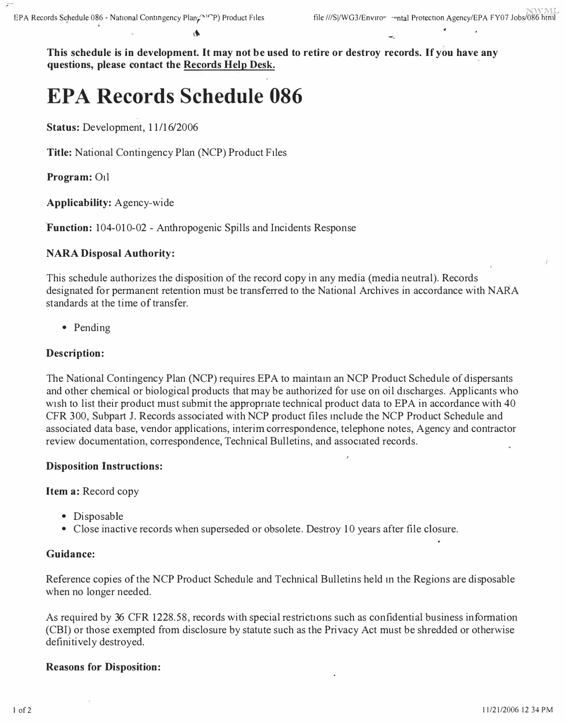**This schedule is in development. It may not be used to retire or destroy records. If you have any questions, please contact the Records Help Desk.** 

# **EPA Records Schedule 086**

**Status:** Development, 11/16/2006

**Title:** National Contingency Plan (NCP) Product Files

**Program:** Oil

**Applicability:** Agency-wide

**'Function:** 104-010-02 - Anthropogenic Spills and Incidents Response

#### **NARA Disposal Authority:**

This schedule authorizes the disposition of the record copy in any media (media neutral). Records designated for permanent retention must be transferred to the National Archives in accordance with NARA standards at the time of transfer.

• Pending

#### **Description:**

The National Contingency Plan (NCP) requires EPA to maintam an NCP Product Schedule of dispersants and other chemical or biological products that may be authorized for use on oil discharges. Applicants who wish to list their product must submit the appropriate technical product data to EPA in accordance with 40 CFR 300, Subpart J. Records associated with NCP product files mclude the NCP Product Schedule and associated data base, vendor applications, interim correspondence, telephone notes, Agency and contractor review documentation, correspondence, Technical Bulletins, and associated records.

#### **Disposition Instructions:**

**Item a:** Record copy

- Disposable
- Close inactive records when superseded or obsolete. Destroy 10 years after file closure.

#### **Guidance:**

Reference copies of the NCP Product Schedule and Technical Bulletins held m the Regions are disposable when no longer needed.

As required by 36 CFR 1228.58, records with special restrictions such as confidential business information (CBI) or those exempted from disclosure by statute such as the Privacy Act must be shredded or otherwise definitively destroyed.

#### **Reasons for Disposition:**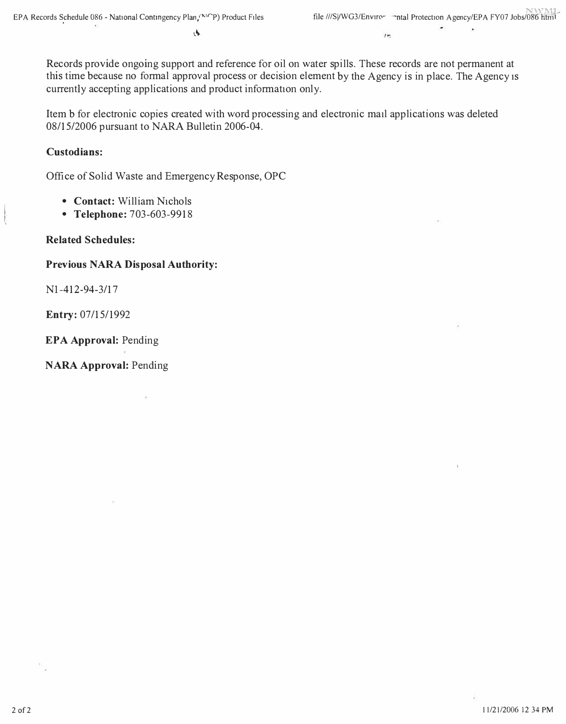l\.

Records provide ongoing support and reference for oil on water spills. These records are not permanent at this time because no formal approval process or decision element by the Agency is in place. The Agency 1s currently accepting applications and product information only.

Item b for electronic copies created with word processing and electronic mail applications was deleted 08/15/2006 pursuant to NARA Bulletin 2006-04.

### **Custodians:**

Office of Solid Waste and Emergency Response, OPC

- **Contact:** William Nichols
- **Telephone:** 703-603-9918

**Related Schedules:** 

### **Previous NARA Disposal Authority:**

Nl-412-94-3/17

**Entry:** 07/15/1992

**EPA Approval:** Pending

**NARA Approval:** Pending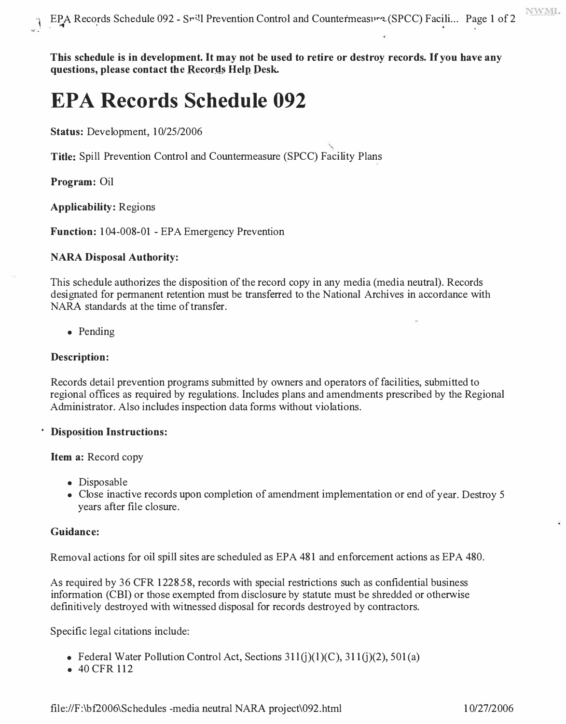NWML

**This schedule is in development. It may not be used to retire or destroy records. If you have any**  questions, please contact the Records Help Desk.

## **EPA Records Schedule 092**

**Status:** Development, 10/25/2006

**Title:** Spill Prevention Control and Countermeasure (SPCC) Facility Plans

**Program:** Oil

**Applicability:** Regions

**Function:** 104-008-01 - EPA Emergency Prevention

#### **NARA Disposal Authority:**

This schedule authorizes the disposition of the record copy in any media (media neutral). Records designated for permanent retention must be transferred to the National Archives in accordance with NARA standards at the time of transfer.

• Pending

#### **Description:**

Records detail prevention programs submitted by owners and operators of facilities, submitted to regional offices as required by regulations. Includes plans and amendments prescribed by the Regional Administrator. Also includes inspection data forms without violations.

#### *<u><b>·* Disposition Instructions:</u>

**Item a:** Record copy

- Disposable
- Close inactive records upon completion of amendment implementation or end of year. Destroy 5 years after file closure.

#### **Guidance:**

Removal actions for oil spill sites are scheduled as EPA 481 and enforcement actions as EPA 480.

As required by 36 CFR 1228.58, records with special restrictions such as confidential business information (CBI) or those exempted from disclosure by statute must be shredded or otherwise definitively destroyed with witnessed disposal for records destroyed by contractors.

Specific legal citations include:

- Federal Water Pollution Control Act, Sections  $311(j)(1)(C)$ ,  $311(j)(2)$ ,  $501(a)$
- 40 CFR 112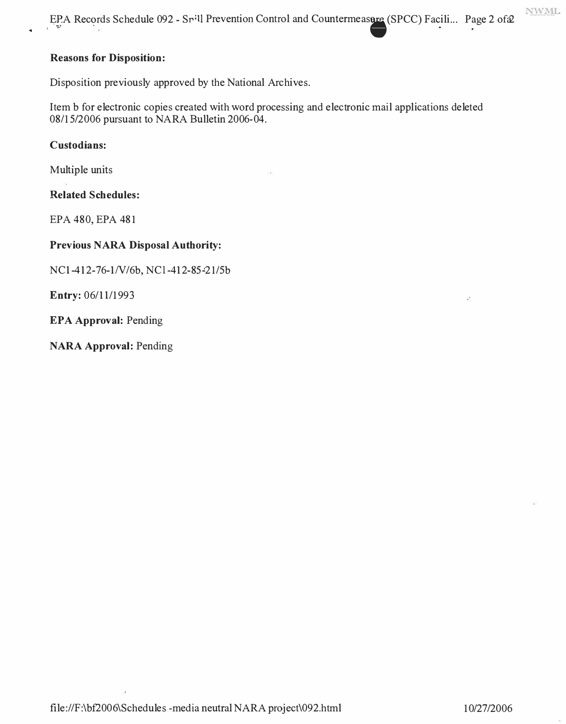**NWML** 

EPA Records Schedule 092 - Spill Prevention Control and Countermeasure (SPCC) Facili ... Page 2 ofa2

#### **Reasons for Disposition:**

Disposition previously approved by the National Archives.

Item b for electronic copies created with word processing and electronic mail applications deleted 08/15/2006 pursuant to NARA Bulletin 2006-04.

**Custodians:** 

Multiple units

**Related Schedules:** 

EPA 480, EPA 481

#### **Previous NARA Disposal Authority:**

NC1-412-76-1/V/6b, NCl-412-85-21/5b

**Entry:** 06/11/1993

**EPA Approval:** Pending

**NARA Approval:** Pending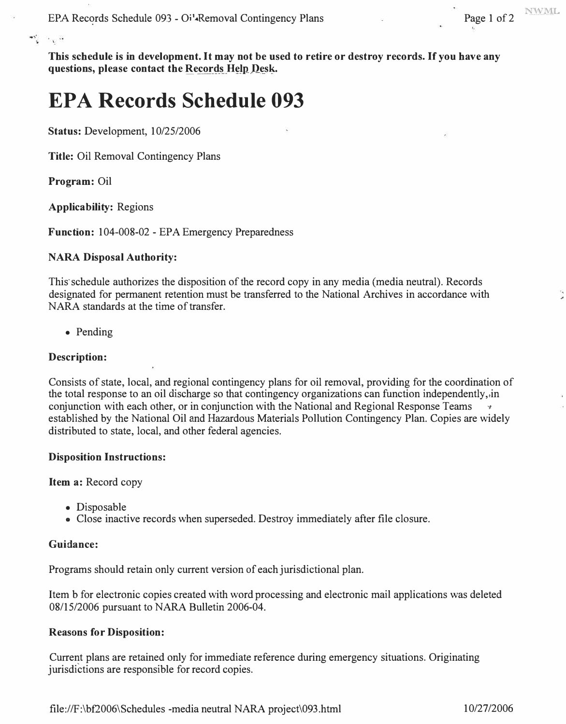**This schedule is in development. It may not be used to retire or destroy records. If you have any questions, please contact the Records Help Desk.** 

## **EPA Records Schedule 093**

**Status: Development, 10/25/2006** 

**Title: Oil Removal Contingency Plans** 

**Program: Oil** 

లో, సంత

**Applicability: Regions** 

**Function: 104-008-02 - EPA Emergency Preparedness** 

#### **NARA Disposal Authority:**

This schedule authorizes the disposition of the record copy in any media (media neutral). Records **designated for permanent retention must be transferred to the National Archives in accordance with NARA standards at the time of transfer.** 

**• Pending** 

#### **Description:**

**Consists of state, local, and regional contingency plans for oil removal, providing for the coordination of the total response to an oil discharge so that contingency organizations can function independently,,in**  conjunction with each other, or in conjunction with the National and Regional Response Teams **established by the National Oil and Hazardous Materials Pollution Contingency Plan. Copies are widely distributed to state, local, and other federal agencies.** 

#### **Disposition Instructions:**

**Item a: Record copy** 

- **Disposable**
- **Close inactive records when superseded. Destroy immediately after file closure.**

#### **Guidance:**

**Programs should retain only current version of each jurisdictional plan.** 

**Item b for electronic copies created with word processing and electronic mail applications was deleted 08/15/2006 pursuant to NARA Bulletin 2006-04.** 

### **Reasons for Disposition:**

**Current plans are retained only for immediate reference during emergency situations. Originating jurisdictions are responsible for record copies.**